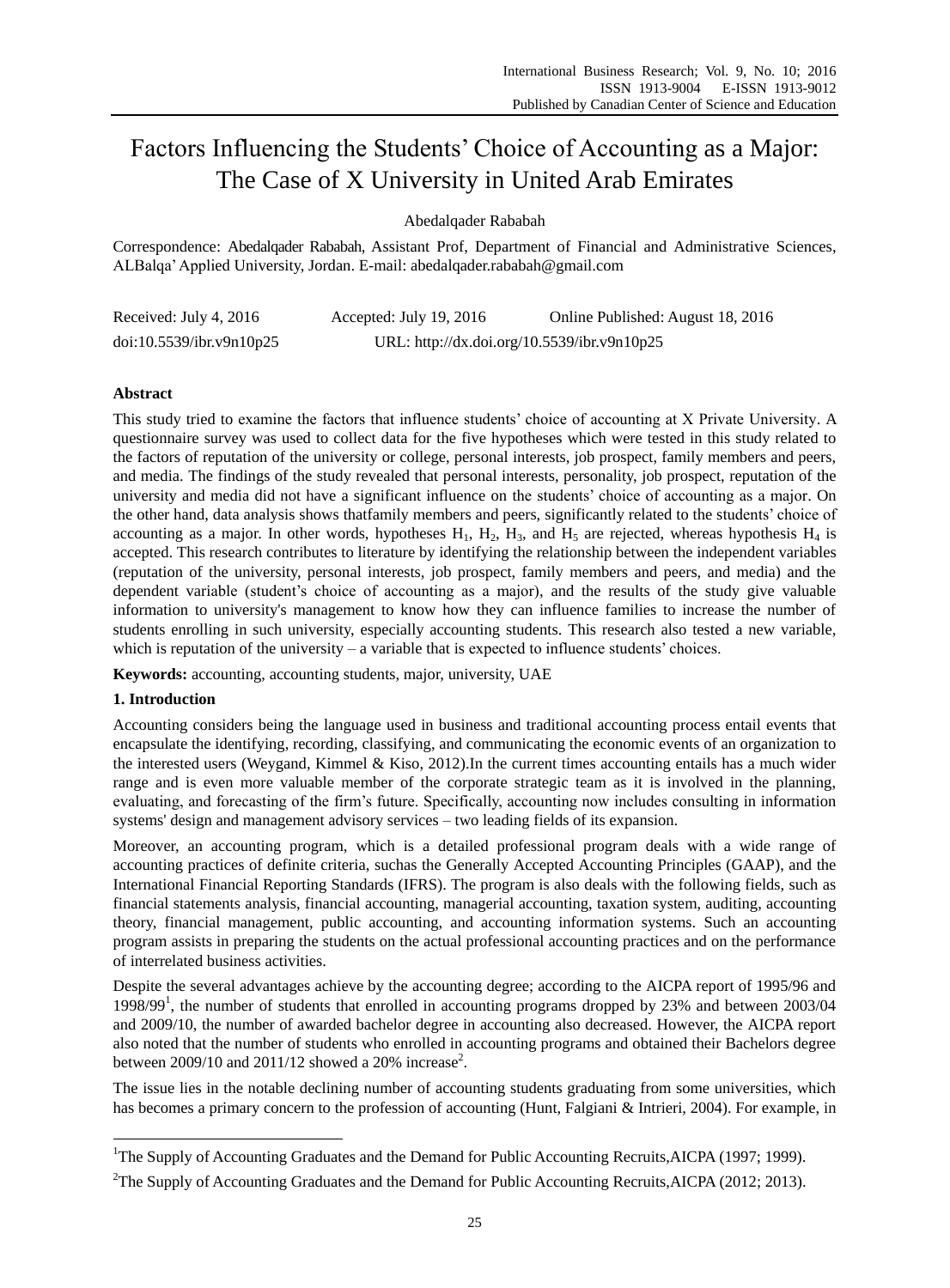# Factors Influencing the Students' Choice of Accounting as a Major: The Case of X University in United Arab Emirates

Abedalqader Rababah

Correspondence: Abedalqader Rababah, Assistant Prof, Department of Financial and Administrative Sciences, ALBalqa' Applied University, Jordan. E-mail: abedalqader.rababah@gmail.com

| Received: July 4, 2016   | Accepted: July 19, 2016                     | Online Published: August 18, 2016 |
|--------------------------|---------------------------------------------|-----------------------------------|
| doi:10.5539/ibr.v9n10p25 | URL: http://dx.doi.org/10.5539/ibr.v9n10p25 |                                   |

# **Abstract**

This study tried to examine the factors that influence students' choice of accounting at X Private University. A questionnaire survey was used to collect data for the five hypotheses which were tested in this study related to the factors of reputation of the university or college, personal interests, job prospect, family members and peers, and media. The findings of the study revealed that personal interests, personality, job prospect, reputation of the university and media did not have a significant influence on the students' choice of accounting as a major. On the other hand, data analysis shows thatfamily members and peers, significantly related to the students' choice of accounting as a major. In other words, hypotheses  $H_1$ ,  $H_2$ ,  $H_3$ , and  $H_5$  are rejected, whereas hypothesis  $H_4$  is accepted. This research contributes to literature by identifying the relationship between the independent variables (reputation of the university, personal interests, job prospect, family members and peers, and media) and the dependent variable (student's choice of accounting as a major), and the results of the study give valuable information to university's management to know how they can influence families to increase the number of students enrolling in such university, especially accounting students. This research also tested a new variable, which is reputation of the university – a variable that is expected to influence students' choices.

**Keywords:** accounting, accounting students, major, university, UAE

## **1. Introduction**

-

Accounting considers being the language used in business and traditional accounting process entail events that encapsulate the identifying, recording, classifying, and communicating the economic events of an organization to the interested users (Weygand, Kimmel & Kiso, 2012).In the current times accounting entails has a much wider range and is even more valuable member of the corporate strategic team as it is involved in the planning, evaluating, and forecasting of the firm's future. Specifically, accounting now includes consulting in information systems' design and management advisory services – two leading fields of its expansion.

Moreover, an accounting program, which is a detailed professional program deals with a wide range of accounting practices of definite criteria, suchas the Generally Accepted Accounting Principles (GAAP), and the International Financial Reporting Standards (IFRS). The program is also deals with the following fields, such as financial statements analysis, financial accounting, managerial accounting, taxation system, auditing, accounting theory, financial management, public accounting, and accounting information systems. Such an accounting program assists in preparing the students on the actual professional accounting practices and on the performance of interrelated business activities.

Despite the several advantages achieve by the accounting degree; according to the AICPA report of 1995/96 and 1998/99<sup>1</sup>, the number of students that enrolled in accounting programs dropped by 23% and between 2003/04 and 2009/10, the number of awarded bachelor degree in accounting also decreased. However, the AICPA report also noted that the number of students who enrolled in accounting programs and obtained their Bachelors degree between  $2009/10$  and  $2011/12$  showed a  $20\%$  increase<sup>2</sup>.

The issue lies in the notable declining number of accounting students graduating from some universities, which has becomes a primary concern to the profession of accounting (Hunt, Falgiani & Intrieri, 2004). For example, in

<sup>1</sup>The Supply of Accounting Graduates and the Demand for Public Accounting Recruits,AICPA (1997; 1999).

<sup>&</sup>lt;sup>2</sup>The Supply of Accounting Graduates and the Demand for Public Accounting Recruits, AICPA (2012; 2013).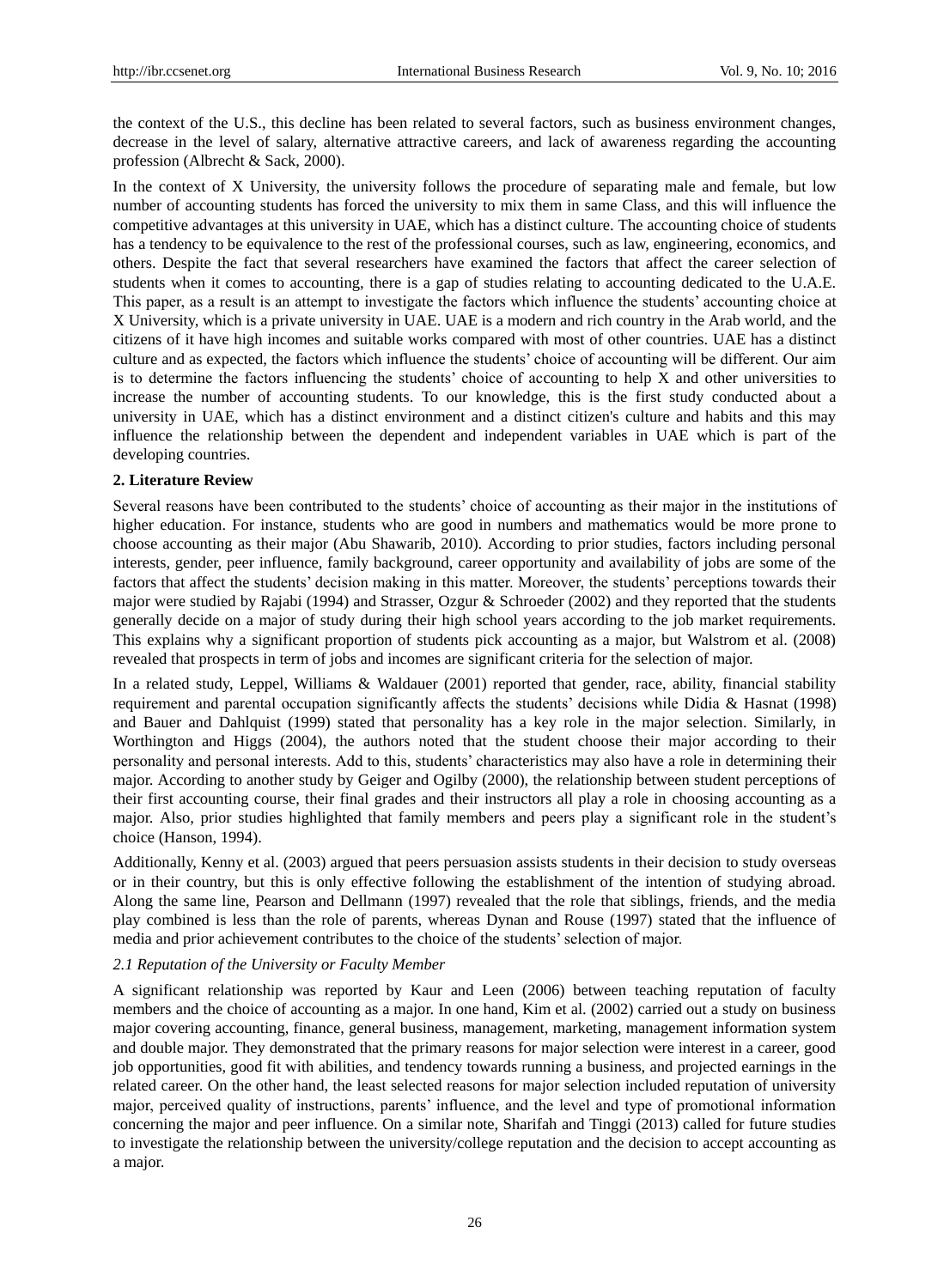the context of the U.S., this decline has been related to several factors, such as business environment changes, decrease in the level of salary, alternative attractive careers, and lack of awareness regarding the accounting profession (Albrecht & Sack, 2000).

In the context of X University, the university follows the procedure of separating male and female, but low number of accounting students has forced the university to mix them in same Class, and this will influence the competitive advantages at this university in UAE, which has a distinct culture. The accounting choice of students has a tendency to be equivalence to the rest of the professional courses, such as law, engineering, economics, and others. Despite the fact that several researchers have examined the factors that affect the career selection of students when it comes to accounting, there is a gap of studies relating to accounting dedicated to the U.A.E. This paper, as a result is an attempt to investigate the factors which influence the students' accounting choice at X University, which is a private university in UAE. UAE is a modern and rich country in the Arab world, and the citizens of it have high incomes and suitable works compared with most of other countries. UAE has a distinct culture and as expected, the factors which influence the students' choice of accounting will be different. Our aim is to determine the factors influencing the students' choice of accounting to help X and other universities to increase the number of accounting students. To our knowledge, this is the first study conducted about a university in UAE, which has a distinct environment and a distinct citizen's culture and habits and this may influence the relationship between the dependent and independent variables in UAE which is part of the developing countries.

## **2. Literature Review**

Several reasons have been contributed to the students' choice of accounting as their major in the institutions of higher education. For instance, students who are good in numbers and mathematics would be more prone to choose accounting as their major (Abu Shawarib, 2010). According to prior studies, factors including personal interests, gender, peer influence, family background, career opportunity and availability of jobs are some of the factors that affect the students' decision making in this matter. Moreover, the students' perceptions towards their major were studied by Rajabi (1994) and Strasser, Ozgur & Schroeder (2002) and they reported that the students generally decide on a major of study during their high school years according to the job market requirements. This explains why a significant proportion of students pick accounting as a major, but Walstrom et al. (2008) revealed that prospects in term of jobs and incomes are significant criteria for the selection of major.

In a related study, Leppel, Williams & Waldauer (2001) reported that gender, race, ability, financial stability requirement and parental occupation significantly affects the students' decisions while Didia & Hasnat (1998) and Bauer and Dahlquist (1999) stated that personality has a key role in the major selection. Similarly, in Worthington and Higgs (2004), the authors noted that the student choose their major according to their personality and personal interests. Add to this, students' characteristics may also have a role in determining their major. According to another study by Geiger and Ogilby (2000), the relationship between student perceptions of their first accounting course, their final grades and their instructors all play a role in choosing accounting as a major. Also, prior studies highlighted that family members and peers play a significant role in the student's choice (Hanson, 1994).

Additionally, Kenny et al. (2003) argued that peers persuasion assists students in their decision to study overseas or in their country, but this is only effective following the establishment of the intention of studying abroad. Along the same line, Pearson and Dellmann (1997) revealed that the role that siblings, friends, and the media play combined is less than the role of parents, whereas Dynan and Rouse (1997) stated that the influence of media and prior achievement contributes to the choice of the students' selection of major.

#### *2.1 Reputation of the University or Faculty Member*

A significant relationship was reported by Kaur and Leen (2006) between teaching reputation of faculty members and the choice of accounting as a major. In one hand, Kim et al. (2002) carried out a study on business major covering accounting, finance, general business, management, marketing, management information system and double major. They demonstrated that the primary reasons for major selection were interest in a career, good job opportunities, good fit with abilities, and tendency towards running a business, and projected earnings in the related career. On the other hand, the least selected reasons for major selection included reputation of university major, perceived quality of instructions, parents' influence, and the level and type of promotional information concerning the major and peer influence. On a similar note, Sharifah and Tinggi (2013) called for future studies to investigate the relationship between the university/college reputation and the decision to accept accounting as a major.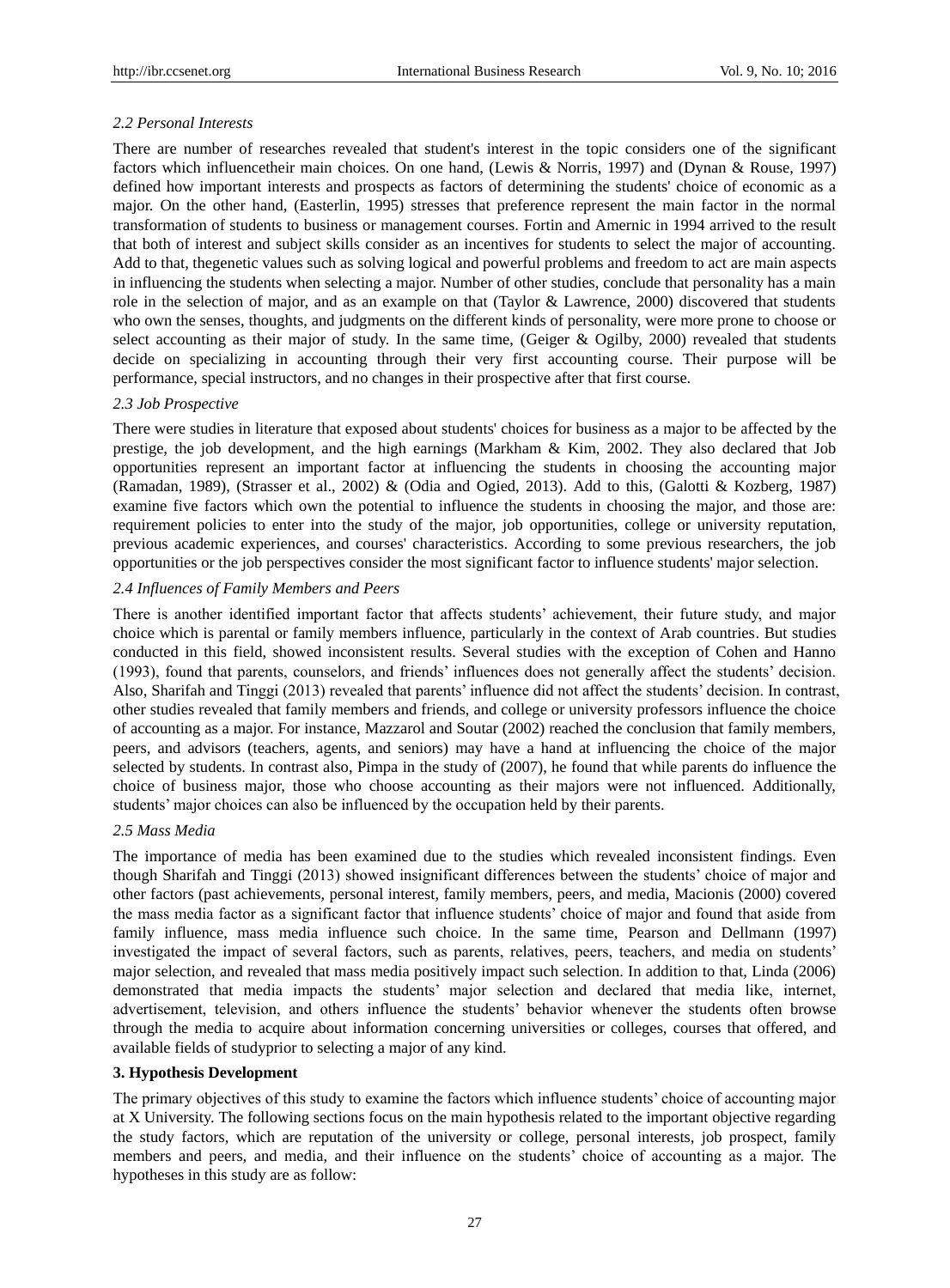## *2.2 Personal Interests*

There are number of researches revealed that student's interest in the topic considers one of the significant factors which influencetheir main choices. On one hand, (Lewis & Norris, 1997) and (Dynan & Rouse, 1997) defined how important interests and prospects as factors of determining the students' choice of economic as a major. On the other hand, (Easterlin, 1995) stresses that preference represent the main factor in the normal transformation of students to business or management courses. Fortin and Amernic in 1994 arrived to the result that both of interest and subject skills consider as an incentives for students to select the major of accounting. Add to that, thegenetic values such as solving logical and powerful problems and freedom to act are main aspects in influencing the students when selecting a major. Number of other studies, conclude that personality has a main role in the selection of major, and as an example on that (Taylor & Lawrence, 2000) discovered that students who own the senses, thoughts, and judgments on the different kinds of personality, were more prone to choose or select accounting as their major of study. In the same time, (Geiger & Ogilby, 2000) revealed that students decide on specializing in accounting through their very first accounting course. Their purpose will be performance, special instructors, and no changes in their prospective after that first course.

## *2.3 Job Prospective*

There were studies in literature that exposed about students' choices for business as a major to be affected by the prestige, the job development, and the high earnings (Markham & Kim, 2002. They also declared that Job opportunities represent an important factor at influencing the students in choosing the accounting major (Ramadan, 1989), (Strasser et al., 2002) & (Odia and Ogied, 2013). Add to this, (Galotti & Kozberg, 1987) examine five factors which own the potential to influence the students in choosing the major, and those are: requirement policies to enter into the study of the major, job opportunities, college or university reputation, previous academic experiences, and courses' characteristics. According to some previous researchers, the job opportunities or the job perspectives consider the most significant factor to influence students' major selection.

## *2.4 Influences of Family Members and Peers*

There is another identified important factor that affects students' achievement, their future study, and major choice which is parental or family members influence, particularly in the context of Arab countries. But studies conducted in this field, showed inconsistent results. Several studies with the exception of Cohen and Hanno (1993), found that parents, counselors, and friends' influences does not generally affect the students' decision. Also, Sharifah and Tinggi (2013) revealed that parents' influence did not affect the students' decision. In contrast, other studies revealed that family members and friends, and college or university professors influence the choice of accounting as a major. For instance, Mazzarol and Soutar (2002) reached the conclusion that family members, peers, and advisors (teachers, agents, and seniors) may have a hand at influencing the choice of the major selected by students. In contrast also, Pimpa in the study of (2007), he found that while parents do influence the choice of business major, those who choose accounting as their majors were not influenced. Additionally, students' major choices can also be influenced by the occupation held by their parents.

## *2.5 Mass Media*

The importance of media has been examined due to the studies which revealed inconsistent findings. Even though Sharifah and Tinggi (2013) showed insignificant differences between the students' choice of major and other factors (past achievements, personal interest, family members, peers, and media, Macionis (2000) covered the mass media factor as a significant factor that influence students' choice of major and found that aside from family influence, mass media influence such choice. In the same time, Pearson and Dellmann (1997) investigated the impact of several factors, such as parents, relatives, peers, teachers, and media on students' major selection, and revealed that mass media positively impact such selection. In addition to that, Linda (2006) demonstrated that media impacts the students' major selection and declared that media like, internet, advertisement, television, and others influence the students' behavior whenever the students often browse through the media to acquire about information concerning universities or colleges, courses that offered, and available fields of studyprior to selecting a major of any kind.

## **3. Hypothesis Development**

The primary objectives of this study to examine the factors which influence students' choice of accounting major at X University. The following sections focus on the main hypothesis related to the important objective regarding the study factors, which are reputation of the university or college, personal interests, job prospect, family members and peers, and media, and their influence on the students' choice of accounting as a major. The hypotheses in this study are as follow: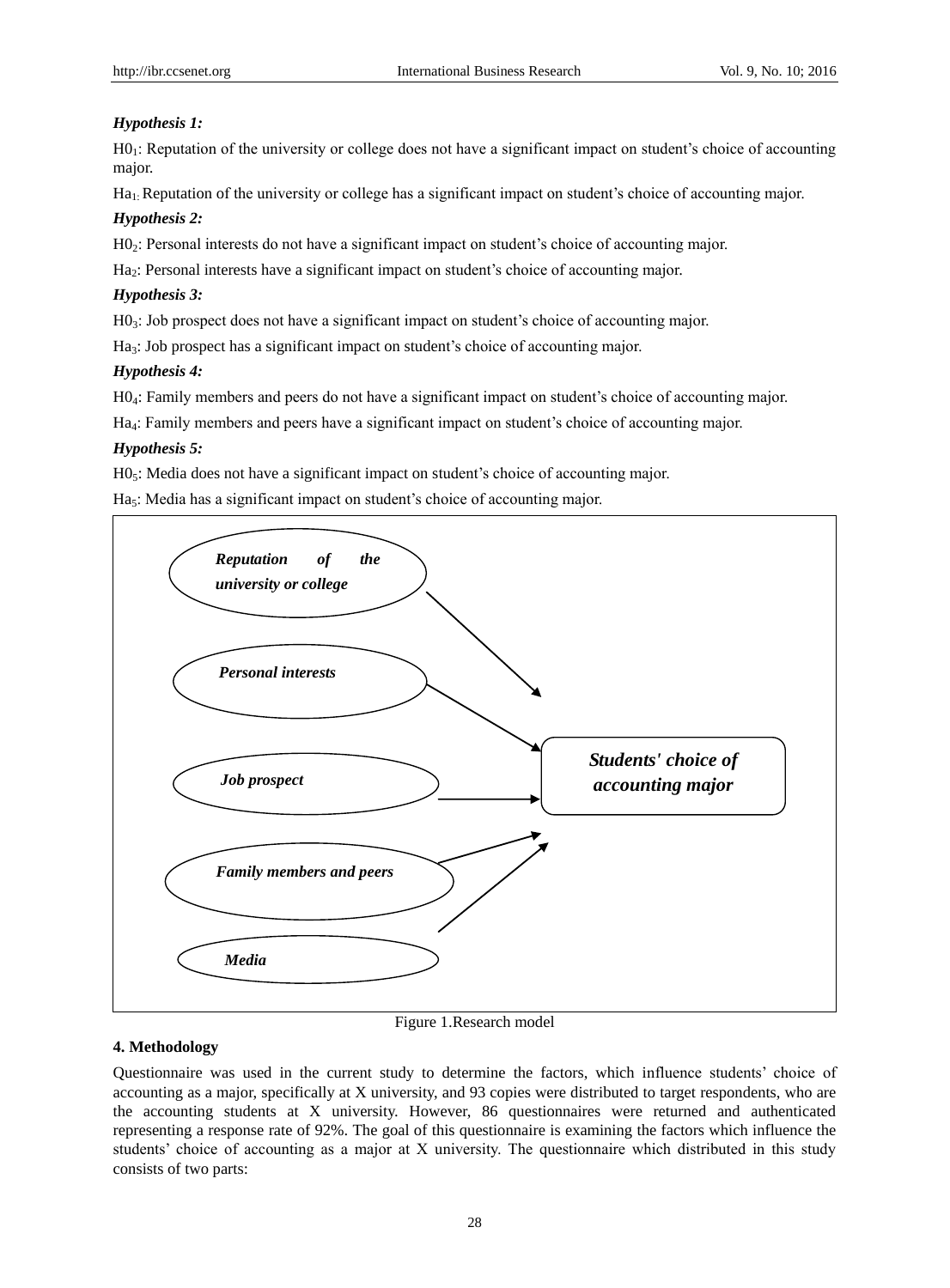# *Hypothesis 1:*

H01: Reputation of the university or college does not have a significant impact on student's choice of accounting major.

Ha1: Reputation of the university or college has a significant impact on student's choice of accounting major.

# *Hypothesis 2:*

H02: Personal interests do not have a significant impact on student's choice of accounting major.

Ha2: Personal interests have a significant impact on student's choice of accounting major.

# *Hypothesis 3:*

 $H0<sub>3</sub>$ : Job prospect does not have a significant impact on student's choice of accounting major.

Ha<sub>3</sub>: Job prospect has a significant impact on student's choice of accounting major.

# *Hypothesis 4:*

H04: Family members and peers do not have a significant impact on student's choice of accounting major.

Ha4: Family members and peers have a significant impact on student's choice of accounting major.

# *Hypothesis 5:*

H0<sub>5</sub>: Media does not have a significant impact on student's choice of accounting major.

Ha<sub>5</sub>: Media has a significant impact on student's choice of accounting major.



## Figure 1.Research model

## **4. Methodology**

Questionnaire was used in the current study to determine the factors, which influence students' choice of accounting as a major, specifically at X university, and 93 copies were distributed to target respondents, who are the accounting students at X university. However, 86 questionnaires were returned and authenticated representing a response rate of 92%. The goal of this questionnaire is examining the factors which influence the students' choice of accounting as a major at X university. The questionnaire which distributed in this study consists of two parts: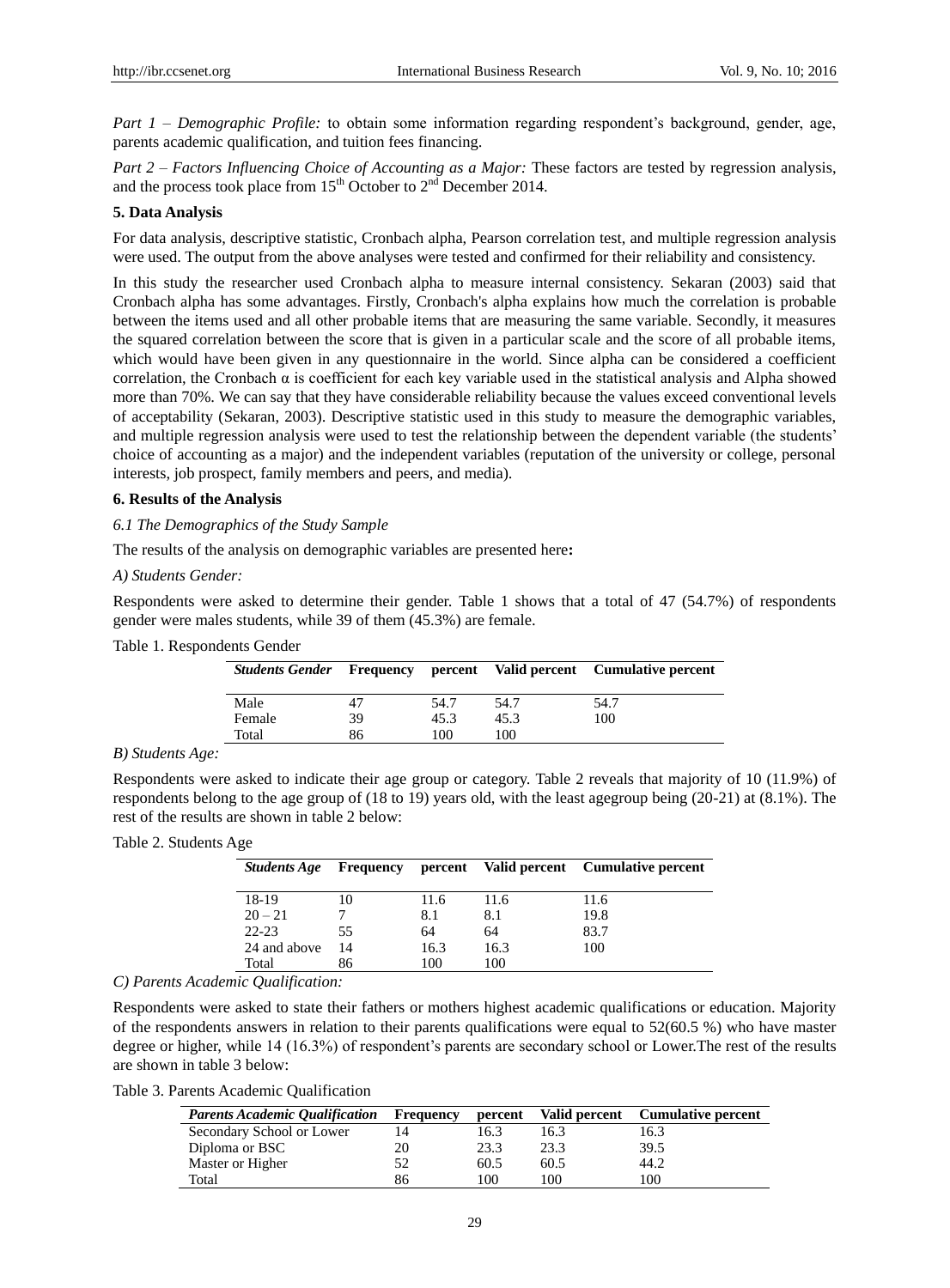*Part 1 – Demographic Profile:* to obtain some information regarding respondent's background, gender, age, parents academic qualification, and tuition fees financing.

*Part 2 – Factors Influencing Choice of Accounting as a Major:* These factors are tested by regression analysis, and the process took place from  $15<sup>th</sup>$  October to  $2<sup>nd</sup>$  December 2014.

#### **5. Data Analysis**

For data analysis, descriptive statistic, Cronbach alpha, Pearson correlation test, and multiple regression analysis were used. The output from the above analyses were tested and confirmed for their reliability and consistency.

In this study the researcher used Cronbach alpha to measure internal consistency. Sekaran (2003) said that Cronbach alpha has some advantages. Firstly, Cronbach's alpha explains how much the correlation is probable between the items used and all other probable items that are measuring the same variable. Secondly, it measures the squared correlation between the score that is given in a particular scale and the score of all probable items, which would have been given in any questionnaire in the world. Since alpha can be considered a coefficient correlation, the Cronbach  $\alpha$  is coefficient for each key variable used in the statistical analysis and Alpha showed more than 70%. We can say that they have considerable reliability because the values exceed conventional levels of acceptability (Sekaran, 2003). Descriptive statistic used in this study to measure the demographic variables, and multiple regression analysis were used to test the relationship between the dependent variable (the students' choice of accounting as a major) and the independent variables (reputation of the university or college, personal interests, job prospect, family members and peers, and media).

#### **6. Results of the Analysis**

#### *6.1 The Demographics of the Study Sample*

The results of the analysis on demographic variables are presented here**:** 

#### *A) Students Gender:*

Respondents were asked to determine their gender. Table 1 shows that a total of 47 (54.7%) of respondents gender were males students, while 39 of them (45.3%) are female.

#### Table 1. Respondents Gender

| <b>Students Gender</b> |    |      |      | <b>Example 1</b> Frequency percent Valid percent Cumulative percent |
|------------------------|----|------|------|---------------------------------------------------------------------|
| Male                   |    | 54.7 | 54.7 | 54.7                                                                |
| Female                 | 39 | 45.3 | 45.3 | 100                                                                 |
| Total                  | 86 | 100  | 100  |                                                                     |

#### *B) Students Age:*

Respondents were asked to indicate their age group or category. Table 2 reveals that majority of 10 (11.9%) of respondents belong to the age group of (18 to 19) years old, with the least agegroup being (20-21) at (8.1%). The rest of the results are shown in table 2 below:

## Table 2. Students Age

| <b>Students Age</b> |    |      |      | Frequency percent Valid percent Cumulative percent |
|---------------------|----|------|------|----------------------------------------------------|
| 18-19               | 10 | 11.6 | 11.6 | 11.6                                               |
| $20 - 21$           |    | 8.1  | 8.1  | 19.8                                               |
| $22 - 23$           | 55 | 64   | 64   | 83.7                                               |
| 24 and above        | 14 | 16.3 | 16.3 | 100                                                |
| Total               | 86 | 100  | 100  |                                                    |

*C) Parents Academic Qualification:*

Respondents were asked to state their fathers or mothers highest academic qualifications or education. Majority of the respondents answers in relation to their parents qualifications were equal to 52(60.5 %) who have master degree or higher, while 14 (16.3%) of respondent's parents are secondary school or Lower.The rest of the results are shown in table 3 below:

Table 3. Parents Academic Qualification

| <b>Parents Academic Qualification</b> | Frequency | percent | Valid percent | <b>Cumulative percent</b> |
|---------------------------------------|-----------|---------|---------------|---------------------------|
| Secondary School or Lower             | 14        | 16.3    | 16.3          | 16.3                      |
| Diploma or BSC                        | 20        | 23.3    | 23.3          | 39.5                      |
| Master or Higher                      |           | 60.5    | 60.5          | 44.2                      |
| Total                                 | 86        | 100     | 100           | 100                       |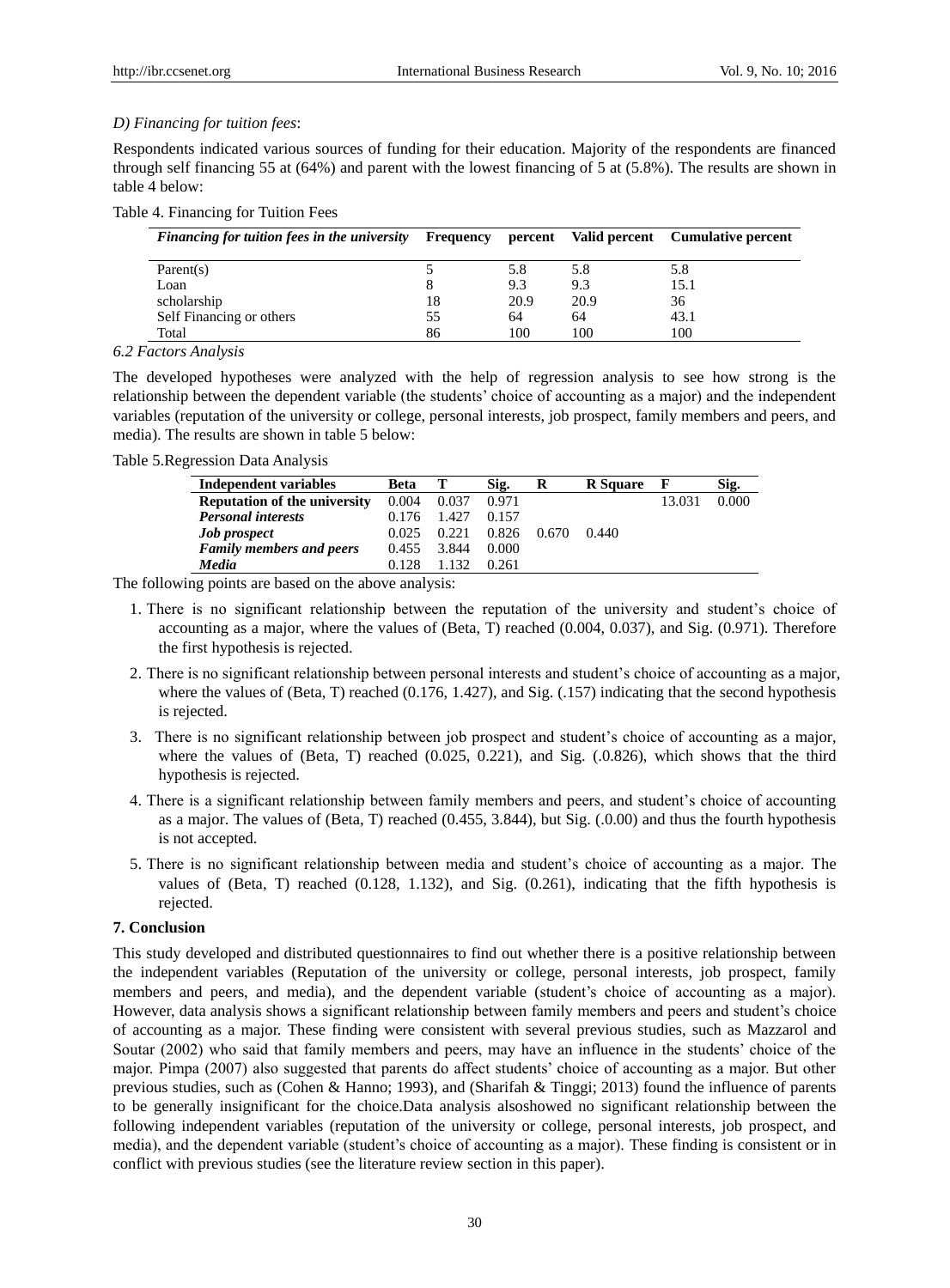## *D) Financing for tuition fees*:

Respondents indicated various sources of funding for their education. Majority of the respondents are financed through self financing 55 at (64%) and parent with the lowest financing of 5 at (5.8%). The results are shown in table 4 below:

| Table 4. Financing for Tuition Fees |  |  |  |  |  |
|-------------------------------------|--|--|--|--|--|
|-------------------------------------|--|--|--|--|--|

| Financing for tuition fees in the university Frequency percent Valid percent Cumulative percent |    |      |      |      |  |
|-------------------------------------------------------------------------------------------------|----|------|------|------|--|
| Parent(s)                                                                                       |    | 5.8  | 5.8  | 5.8  |  |
| Loan                                                                                            | 8  | 9.3  | 9.3  | 15.1 |  |
| scholarship                                                                                     | 18 | 20.9 | 20.9 | 36   |  |
| Self Financing or others                                                                        | 55 | 64   | 64   | 43.1 |  |
| Total                                                                                           | 86 | 100  | 100  | 100  |  |

#### *6.2 Factors Analysis*

The developed hypotheses were analyzed with the help of regression analysis to see how strong is the relationship between the dependent variable (the students' choice of accounting as a major) and the independent variables (reputation of the university or college, personal interests, job prospect, family members and peers, and media). The results are shown in table 5 below:

Table 5.Regression Data Analysis

| <b>Independent variables</b>        | Beta  |       | Sig.  | R     | <b>R</b> Square | F      | Sig.  |
|-------------------------------------|-------|-------|-------|-------|-----------------|--------|-------|
| <b>Reputation of the university</b> | 0.004 | 0.037 | 0.971 |       |                 | 13.031 | 0.000 |
| <b>Personal interests</b>           | 0.176 | 1.427 | 0.157 |       |                 |        |       |
| <b>Job</b> prospect                 | 0.025 | 0.221 | 0.826 | 0.670 | 0.440           |        |       |
| <b>Family members and peers</b>     | 0.455 | 3.844 | 0.000 |       |                 |        |       |
| Media                               | 0.128 | 1.132 | 0.261 |       |                 |        |       |

The following points are based on the above analysis:

- 1. There is no significant relationship between the reputation of the university and student's choice of accounting as a major, where the values of (Beta, T) reached (0.004, 0.037), and Sig. (0.971). Therefore the first hypothesis is rejected.
- 2. There is no significant relationship between personal interests and student's choice of accounting as a major, where the values of (Beta, T) reached (0.176, 1.427), and Sig. (.157) indicating that the second hypothesis is rejected.
- 3. There is no significant relationship between job prospect and student's choice of accounting as a major, where the values of (Beta, T) reached (0.025, 0.221), and Sig. (0.826), which shows that the third hypothesis is rejected.
- 4. There is a significant relationship between family members and peers, and student's choice of accounting as a major. The values of (Beta, T) reached (0.455, 3.844), but Sig. (.0.00) and thus the fourth hypothesis is not accepted.
- 5. There is no significant relationship between media and student's choice of accounting as a major. The values of (Beta, T) reached (0.128, 1.132), and Sig. (0.261), indicating that the fifth hypothesis is rejected.

# **7. Conclusion**

This study developed and distributed questionnaires to find out whether there is a positive relationship between the independent variables (Reputation of the university or college, personal interests, job prospect, family members and peers, and media), and the dependent variable (student's choice of accounting as a major). However, data analysis shows a significant relationship between family members and peers and student's choice of accounting as a major. These finding were consistent with several previous studies, such as Mazzarol and Soutar (2002) who said that family members and peers, may have an influence in the students' choice of the major. Pimpa (2007) also suggested that parents do affect students' choice of accounting as a major. But other previous studies, such as (Cohen & Hanno; 1993), and (Sharifah & Tinggi; 2013) found the influence of parents to be generally insignificant for the choice.Data analysis alsoshowed no significant relationship between the following independent variables (reputation of the university or college, personal interests, job prospect, and media), and the dependent variable (student's choice of accounting as a major). These finding is consistent or in conflict with previous studies (see the literature review section in this paper).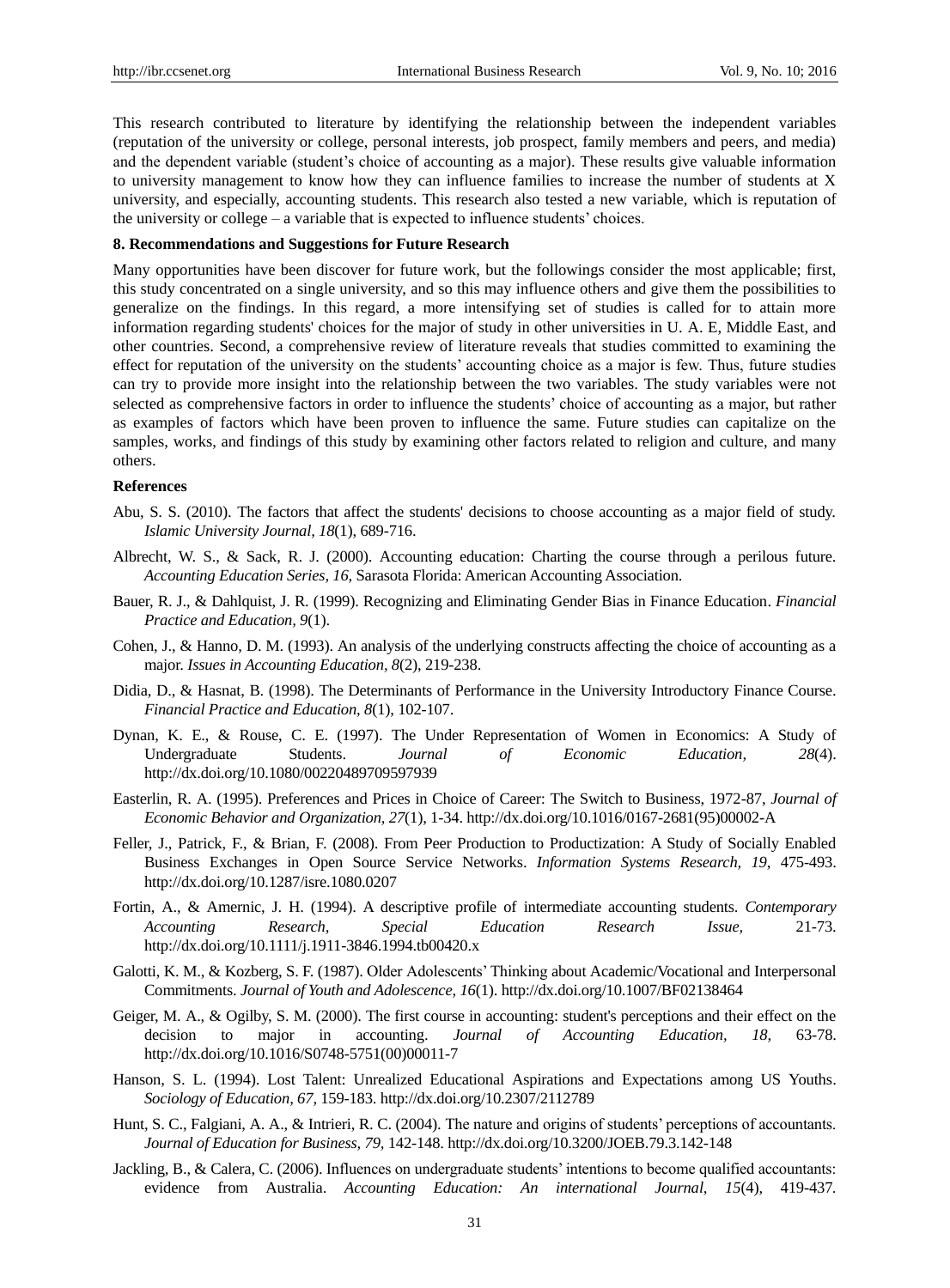This research contributed to literature by identifying the relationship between the independent variables (reputation of the university or college, personal interests, job prospect, family members and peers, and media) and the dependent variable (student's choice of accounting as a major). These results give valuable information to university management to know how they can influence families to increase the number of students at X university, and especially, accounting students. This research also tested a new variable, which is reputation of the university or college – a variable that is expected to influence students' choices.

## **8. Recommendations and Suggestions for Future Research**

Many opportunities have been discover for future work, but the followings consider the most applicable; first, this study concentrated on a single university, and so this may influence others and give them the possibilities to generalize on the findings. In this regard, a more intensifying set of studies is called for to attain more information regarding students' choices for the major of study in other universities in U. A. E, Middle East, and other countries. Second, a comprehensive review of literature reveals that studies committed to examining the effect for reputation of the university on the students' accounting choice as a major is few. Thus, future studies can try to provide more insight into the relationship between the two variables. The study variables were not selected as comprehensive factors in order to influence the students' choice of accounting as a major, but rather as examples of factors which have been proven to influence the same. Future studies can capitalize on the samples, works, and findings of this study by examining other factors related to religion and culture, and many others.

#### **References**

- Abu, S. S. (2010). The factors that affect the students' decisions to choose accounting as a major field of study. *Islamic University Journal, 18*(1), 689-716.
- Albrecht, W. S., & Sack, R. J. (2000). Accounting education: Charting the course through a perilous future. *Accounting Education Series, 16,* Sarasota Florida: American Accounting Association.
- Bauer, R. J., & Dahlquist, J. R. (1999). Recognizing and Eliminating Gender Bias in Finance Education. *Financial Practice and Education, 9*(1).
- Cohen, J., & Hanno, D. M. (1993). An analysis of the underlying constructs affecting the choice of accounting as a major. *Issues in Accounting Education, 8*(2), 219-238.
- Didia, D., & Hasnat, B. (1998). The Determinants of Performance in the University Introductory Finance Course. *Financial Practice and Education, 8*(1), 102-107.
- Dynan, K. E., & Rouse, C. E. (1997). The Under Representation of Women in Economics: A Study of Undergraduate Students. *Journal of Economic Education, 28*(4). <http://dx.doi.org/10.1080/00220489709597939>
- Easterlin, R. A. (1995). Preferences and Prices in Choice of Career: The Switch to Business, 1972-87, *Journal of Economic Behavior and Organization, 27*(1), 1-34. [http://dx.doi.org/10.1016/0167-2681\(95\)00002-A](http://dx.doi.org/10.1016/0167-2681%2895%2900002-A)
- Feller, J., Patrick, F., & Brian, F. (2008). From Peer Production to Productization: A Study of Socially Enabled Business Exchanges in Open Source Service Networks. *Information Systems Research, 19*, 475-493. <http://dx.doi.org/10.1287/isre.1080.0207>
- Fortin, A., & Amernic, J. H. (1994). A descriptive profile of intermediate accounting students. *Contemporary Accounting Research, Special Education Research Issue,* 21-73. <http://dx.doi.org/10.1111/j.1911-3846.1994.tb00420.x>
- Galotti, K. M., & Kozberg, S. F. (1987). Older Adolescents' Thinking about Academic/Vocational and Interpersonal Commitments. *Journal of Youth and Adolescence, 16*(1). <http://dx.doi.org/10.1007/BF02138464>
- Geiger, M. A., & Ogilby, S. M. (2000). The first course in accounting: student's perceptions and their effect on the decision to major in accounting. *Journal of Accounting Education, 18,* 63-78. [http://dx.doi.org/10.1016/S0748-5751\(00\)00011-7](http://dx.doi.org/10.1016/S0748-5751%2800%2900011-7)
- Hanson, S. L. (1994). Lost Talent: Unrealized Educational Aspirations and Expectations among US Youths. *Sociology of Education, 67,* 159-183[. http://dx.doi.org/10.2307/2112789](http://dx.doi.org/10.2307/2112789)
- Hunt, S. C., Falgiani, A. A., & Intrieri, R. C. (2004). The nature and origins of students' perceptions of accountants. *Journal of Education for Business, 79,* 142-148[. http://dx.doi.org/10.3200/JOEB.79.3.142-148](http://dx.doi.org/10.3200/JOEB.79.3.142-148)
- Jackling, B., & Calera, C. (2006). Influences on undergraduate students' intentions to become qualified accountants: evidence from Australia. *Accounting Education: An international Journal*, *15*(4), 419-437*.*